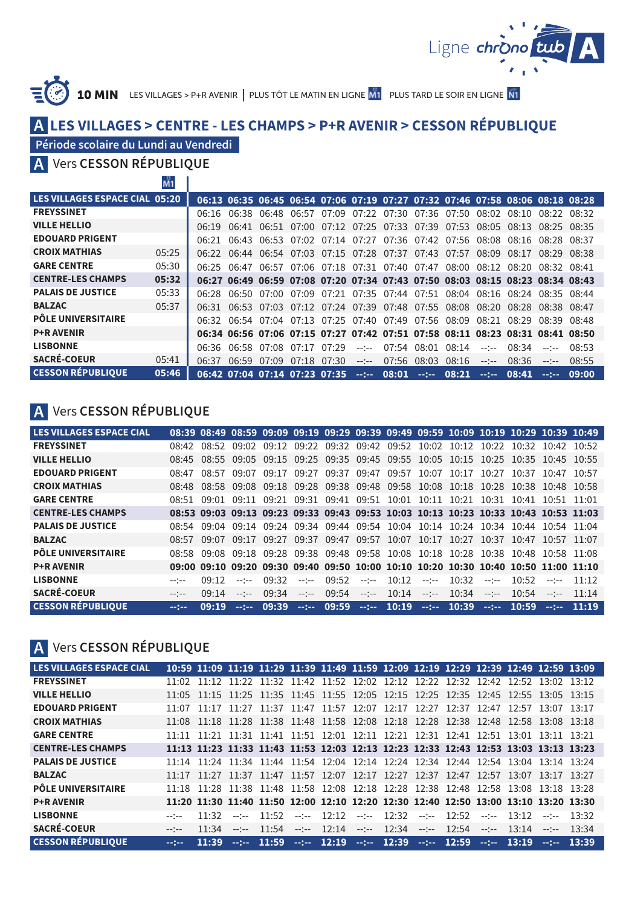

 ${\bf 10~MIN}$   $\,$  Les Villages > P+R avenir  $\,|\,$  Plus tôt le matin en ligne  $\rm \overline{M1}$   $\,$  Plus tard le soir en ligne

## **LES VILLAGES > CENTRE - LES CHAMPS > P+R AVENIR > CESSON RÉPUBLIQUE A**

## **Période scolaire du Lundi au Vendredi**

 $\frac{10}{24}$   $\frac{1}{2}$ 

Vers **CESSON RÉPUBLIQUE A**

|                                | <b>IVII</b> |         |       |                               |  |                                                       |             |              |       |                                                                               |       |                 |       |
|--------------------------------|-------------|---------|-------|-------------------------------|--|-------------------------------------------------------|-------------|--------------|-------|-------------------------------------------------------------------------------|-------|-----------------|-------|
| LES VILLAGES ESPACE CIAL 05:20 |             |         |       |                               |  |                                                       |             |              |       | 06:13 06:35 06:45 06:54 07:06 07:19 07:27 07:32 07:46 07:58 08:06 08:18 08:28 |       |                 |       |
| <b>FREYSSINET</b>              |             | በ6:16   |       |                               |  |                                                       |             |              |       | 06:38 06:48 06:57 07:09 07:22 07:30 07:36 07:50 08:02 08:10                   |       | 08.2208.32      |       |
| <b>VILLE HELLIO</b>            |             | 06:19   |       |                               |  |                                                       |             |              |       | 06:41 06:51 07:00 07:12 07:25 07:33 07:39 07:53 08:05 08:13 08:25 08:35       |       |                 |       |
| <b>EDOUARD PRIGENT</b>         |             | 06:21   | 06.43 |                               |  |                                                       |             |              |       | 06:53 07:02 07:14 07:27 07:36 07:42 07:56 08:08 08:16                         |       | 08.28 08.37     |       |
| <b>CROIX MATHIAS</b>           | 0.5:25      | 06.22 I |       |                               |  | 06:44 06:54 07:03 07:15 07:28 07:37 07:43 07:57 08:09 |             |              |       |                                                                               | 08:17 | $08.29$ $08.38$ |       |
| <b>GARE CENTRE</b>             | 05:30       | 06.25   | በ6፡47 |                               |  |                                                       |             |              |       | 06:57 07:06 07:18 07:31 07:40 07:47 08:00 08:12                               | 08:20 | 08.32 08.41     |       |
| <b>CENTRE-LES CHAMPS</b>       | 05:32       |         |       |                               |  |                                                       |             |              |       | 06:27 06:49 06:59 07:08 07:20 07:34 07:43 07:50 08:03 08:15 08:23 08:34 08:43 |       |                 |       |
| <b>PALAIS DE JUSTICE</b>       | 05:33       | 06.28   |       |                               |  |                                                       |             |              |       | 06:50 07:00 07:09 07:21 07:35 07:44 07:51 08:04 08:16 08:24 08:35 08:44       |       |                 |       |
| <b>BALZAC</b>                  | 05:37       | 06:31   |       |                               |  |                                                       |             |              |       | 06:53 07:03 07:12 07:24 07:39 07:48 07:55 08:08 08:20 08:28                   |       | 08:38 08:47     |       |
| <b>PÔLE UNIVERSITAIRE</b>      |             |         |       |                               |  |                                                       |             |              |       | 06:32 06:54 07:04 07:13 07:25 07:40 07:49 07:56 08:09 08:21 08:29 08:39 08:48 |       |                 |       |
| <b>P+R AVENIR</b>              |             |         |       |                               |  |                                                       |             |              |       | 06:34 06:56 07:06 07:15 07:27 07:42 07:51 07:58 08:11 08:23 08:31 08:41 08:50 |       |                 |       |
| <b>LISBONNE</b>                |             |         |       | 06:36 06:58 07:08 07:17 07:29 |  | $-1 - 1 - 1$                                          |             | 07:54 08:01  | 08:14 | $-2 - 2 - 1$                                                                  | 08:34 | $-$ - $-$       | 08:53 |
| <b>SACRÉ-COEUR</b>             | 05:41       | 06.37   | 06:59 | 07:09 07:18 07:30             |  | $-2 - 2 - 1$                                          | 07:56       | 08:03        | 08:16 | $-2 - 2 - 1$                                                                  | 08:36 | $--- - -$       | 08:55 |
| <b>CESSON RÉPUBLIQUE</b>       | 05:46       |         |       | 06:42 07:04 07:14 07:23 07:35 |  |                                                       | $-:- 08:01$ | $-2 - 2 - 1$ | 08:21 | $-2 - 2 - 1$                                                                  | 08:41 | $-2 - 2 - 1$    | 09:00 |

# **A** Vers **CESSON RÉPUBLIQUE**

| <b>LES VILLAGES ESPACE CIAL</b> |       |       |             | 08:39 08:49 08:59 09:09 09:19 09:29 09:39 09:49 09:59 10:09 10:19 10:29 10:39 10:49 |              |               |  |                                                             |                          |       |                 |          |
|---------------------------------|-------|-------|-------------|-------------------------------------------------------------------------------------|--------------|---------------|--|-------------------------------------------------------------|--------------------------|-------|-----------------|----------|
| <b>FREYSSINET</b>               | 08.42 |       |             | 08.52 09.02 09.12                                                                   |              |               |  | 09:22 09:32 09:42 09:52 10:02 10:12 10:22 10:32 10:42 10:52 |                          |       |                 |          |
| <b>VILLE HELLIO</b>             |       |       |             | 08:45 08:55 09:05 09:15 09:25 09:35 09:45 09:55 10:05 10:15 10:25 10:35 10:45 10:55 |              |               |  |                                                             |                          |       |                 |          |
| <b>EDOUARD PRIGENT</b>          | 08.47 | 08:57 | 09:07 09:17 |                                                                                     |              |               |  | 09:27 09:37 09:47 09:57 10:07 10:17 10:27                   |                          | 10.37 | $10.47$ $10.57$ |          |
| <b>CROIX MATHIAS</b>            |       |       |             | 08:48 08:58 09:08 09:18 09:28 09:38 09:48 09:58 10:08 10:18 10:28 10:38 10:48 10:58 |              |               |  |                                                             |                          |       |                 |          |
| <b>GARE CENTRE</b>              |       |       |             | 08:51 09:01 09:11 09:21 09:31 09:41 09:51 10:01 10:11 10:21 10:31 10:41 10:51 11:01 |              |               |  |                                                             |                          |       |                 |          |
| <b>CENTRE-LES CHAMPS</b>        |       |       |             | 08:53 09:03 09:13 09:23 09:33 09:43 09:53 10:03 10:13 10:23 10:33 10:43 10:53 11:03 |              |               |  |                                                             |                          |       |                 |          |
| <b>PALAIS DE JUSTICE</b>        |       |       |             | 08:54 09:04 09:14 09:24 09:34 09:44 09:54 10:04 10:14 10:24 10:34 10:44 10:54 11:04 |              |               |  |                                                             |                          |       |                 |          |
| <b>BALZAC</b>                   |       |       |             | 08:57 09:07 09:17 09:27 09:37 09:47 09:57 10:07 10:17 10:27 10:37 10:47 10:57 11:07 |              |               |  |                                                             |                          |       |                 |          |
| <b>PÔLE UNIVERSITAIRE</b>       |       |       |             | 08:58 09:08 09:18 09:28 09:38 09:48 09:58 10:08 10:18 10:28 10:38 10:48 10:58 11:08 |              |               |  |                                                             |                          |       |                 |          |
| <b>P+R AVENIR</b>               |       |       |             | 09:00 09:10 09:20 09:30 09:40 09:50 10:00 10:10 10:20 10:30 10:40 10:50 11:00 11:10 |              |               |  |                                                             |                          |       |                 |          |
| <b>LISBONNE</b>                 |       | 09.12 | $ -$        | 09.32                                                                               | $ -$         | 09:52         |  | $ -$ 10.12 $-$ 10.32                                        | $\sim$ - $\sim$ - $\sim$ | 10:52 | $ -$            | 11:12    |
| <b>SACRÉ-COEUR</b>              |       | 09:14 | $ -$        | 09.34                                                                               | $-2 - 2 - 1$ | $09:54$ --:-- |  | $10.14$ ---- $10.34$                                        | $-$ - $-$                | 10.54 | $-1$            | 11:14    |
| <b>CESSON RÉPUBLIOUE</b>        |       | 09:19 | $-22 - 1$   | 09:39                                                                               |              |               |  | $-1 - 09:59$ $-1 - 10:19$ $-1 - 10:39$ $-1 - 10:59$         |                          |       |                 | $-11:19$ |

## **A** Vers **CESSON RÉPUBLIQUE**

| <b>LES VILLAGES ESPACE CIAL</b> |                       |       |           |       |              |  | 10:59 11:09 11:19 11:29 11:39 11:49 11:59 12:09 12:19 12:29 12:39 12:49 12:59 13:09 |  |              |           |       |
|---------------------------------|-----------------------|-------|-----------|-------|--------------|--|-------------------------------------------------------------------------------------|--|--------------|-----------|-------|
| <b>FREYSSINET</b>               | 11.02                 |       |           |       |              |  | 11:12 11:22 11:32 11:42 11:52 12:02 12:12 12:22 12:32 12:42 12:52 13:02 13:12       |  |              |           |       |
| <b>VILLE HELLIO</b>             |                       |       |           |       |              |  | 11:05 11:15 11:25 11:35 11:45 11:55 12:05 12:15 12:25 12:35 12:45 12:55 13:05 13:15 |  |              |           |       |
| <b>EDOUARD PRIGENT</b>          | 11:07                 |       |           |       |              |  | 11:17 11:27 11:37 11:47 11:57 12:07 12:17 12:27 12:37 12:47 12:57 13:07 13:17       |  |              |           |       |
| <b>CROIX MATHIAS</b>            |                       |       |           |       |              |  | 11:08 11:18 11:28 11:38 11:48 11:58 12:08 12:18 12:28 12:38 12:48 12:58 13:08 13:18 |  |              |           |       |
| <b>GARE CENTRE</b>              |                       |       |           |       |              |  | 11:11 11:21 11:31 11:41 11:51 12:01 12:11 12:21 12:31 12:41 12:51 13:01 13:11 13:21 |  |              |           |       |
| <b>CENTRE-LES CHAMPS</b>        |                       |       |           |       |              |  | 11:13 11:23 11:33 11:43 11:53 12:03 12:13 12:23 12:33 12:43 12:53 13:03 13:13 13:23 |  |              |           |       |
| <b>PALAIS DE JUSTICE</b>        |                       |       |           |       |              |  | 11:14 11:24 11:34 11:44 11:54 12:04 12:14 12:24 12:34 12:44 12:54 13:04 13:14 13:24 |  |              |           |       |
| <b>BALZAC</b>                   |                       |       |           |       |              |  | 11:17 11:27 11:37 11:47 11:57 12:07 12:17 12:27 12:37 12:47 12:57 13:07 13:17 13:27 |  |              |           |       |
| <b>PÔLE UNIVERSITAIRE</b>       |                       |       |           |       |              |  | 11:18 11:28 11:38 11:48 11:58 12:08 12:18 12:28 12:38 12:48 12:58 13:08 13:18 13:28 |  |              |           |       |
| <b>P+R AVENIR</b>               |                       |       |           |       |              |  | 11:20 11:30 11:40 11:50 12:00 12:10 12:20 12:30 12:40 12:50 13:00 13:10 13:20 13:30 |  |              |           |       |
| <b>LISBONNE</b>                 | $-1$ <sup>+</sup> $-$ | 11.32 | $-$ - $-$ | 11.52 | $-$ - $-$    |  | $12:12$ $-12:32$ $-12:52$                                                           |  | $ -$ 13.12   | $-1$ $-1$ | 13:32 |
| <b>SACRÉ-COEUR</b>              | $- - - -$             | 11:34 | $-- ---$  | 11:54 | $-2 - 2 - 1$ |  | $12.14$ ---- $12.34$ ---- $12.54$ ----                                              |  | $13.14$ ---- |           | 13.34 |
| <b>CESSON RÉPUBLIOUE</b>        | $-100 - 100$          | 11:39 |           |       |              |  | $-:-:- 11:59 -:-:- 12:19 -:-:- 12:39 -:-:- 12:59 -:-:- 13:19$                       |  |              | $-22 - 1$ | 13:39 |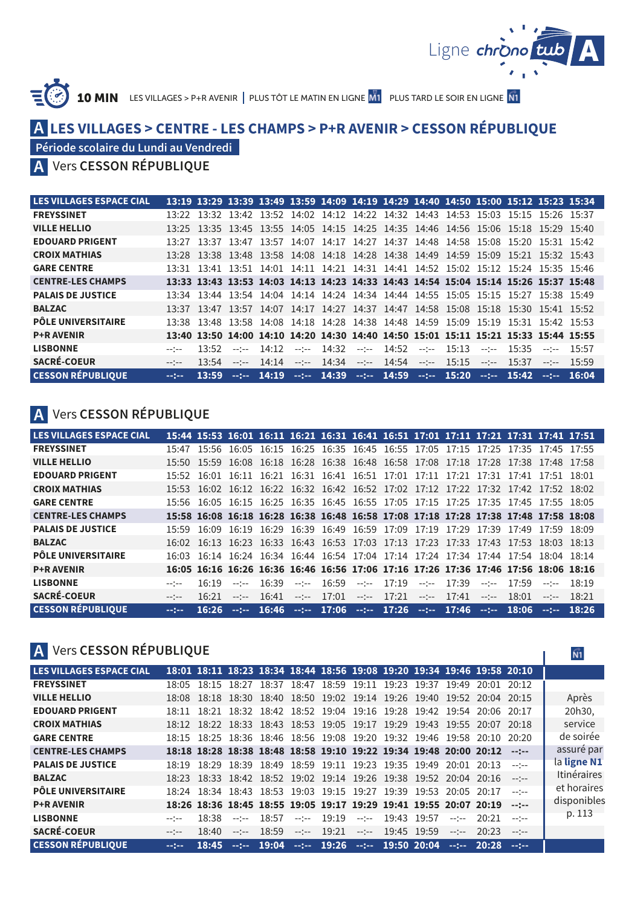

 $\widehat{\mathsf{N1}}$ 

T.

 ${\bf 10~MIN}$  . Les villages > P+R avenir | plus tôt le matin en ligne  $\overline{\text{M1}}$  . Plus tard le soir en ligne

## **LES VILLAGES > CENTRE - LES CHAMPS > P+R AVENIR > CESSON RÉPUBLIQUE A**

**Période scolaire du Lundi au Vendredi**

## Vers **CESSON RÉPUBLIQUE A**

| LES VILLAGES ESPACE CIAL  |          |       |              |              |              |                                     |      |                       |              |       | 13:19 13:29 13:39 13:49 13:59 14:09 14:19 14:29 14:40 14:50 15:00 15:12 15:23 15:34 |                 |                 |       |
|---------------------------|----------|-------|--------------|--------------|--------------|-------------------------------------|------|-----------------------|--------------|-------|-------------------------------------------------------------------------------------|-----------------|-----------------|-------|
| <b>FREYSSINET</b>         | 13.22    |       |              |              |              |                                     |      |                       |              |       | 13:32 13:42 13:52 14:02 14:12 14:22 14:32 14:43 14:53 15:03 15:15 15:26 15:37       |                 |                 |       |
| <b>VILLE HELLIO</b>       |          |       |              |              |              |                                     |      |                       |              |       | 13:25 13:35 13:45 13:55 14:05 14:15 14:25 14:35 14:46 14:56 15:06 15:18 15:29 15:40 |                 |                 |       |
| <b>EDOUARD PRIGENT</b>    | 13.27    |       |              |              |              |                                     |      |                       |              |       | 13:37 13:47 13:57 14:07 14:17 14:27 14:37 14:48 14:58 15:08 15:20                   |                 | $15:31$ $15:42$ |       |
| <b>CROIX MATHIAS</b>      | 13.28    |       |              |              |              |                                     |      |                       |              |       | 13:38 13:48 13:58 14:08 14:18 14:28 14:38 14:49 14:59 15:09 15:21 15:32 15:43       |                 |                 |       |
| <b>GARE CENTRE</b>        |          |       |              |              |              |                                     |      |                       |              |       | 13:31 13:41 13:51 14:01 14:11 14:21 14:31 14:41 14:52 15:02 15:12 15:24 15:35 15:46 |                 |                 |       |
| <b>CENTRE-LES CHAMPS</b>  |          |       |              |              |              |                                     |      |                       |              |       | 13:33 13:43 13:53 14:03 14:13 14:23 14:33 14:43 14:54 15:04 15:14 15:26 15:37 15:48 |                 |                 |       |
| <b>PALAIS DE JUSTICE</b>  | 13.34    |       |              |              |              |                                     |      |                       |              |       | 13:44 13:54 14:04 14:14 14:24 14:34 14:44 14:55 15:05 15:15 15:27 15:38 15:49       |                 |                 |       |
| <b>BALZAC</b>             | 13.37    | 13.47 |              |              |              |                                     |      |                       |              |       | 13:57 14:07 14:17 14:27 14:37 14:47 14:58 15:08 15:18 15:30                         |                 | 15:41 15:52     |       |
| <b>PÔLE UNIVERSITAIRE</b> | 13.38    |       |              |              |              |                                     |      |                       |              |       | 13:48 13:58 14:08 14:18 14:28 14:38 14:48 14:59 15:09 15:19 15:31 15:42 15:53       |                 |                 |       |
| <b>P+R AVENIR</b>         |          |       |              |              |              |                                     |      |                       |              |       | 13:40 13:50 14:00 14:10 14:20 14:30 14:40 14:50 15:01 15:11 15:21 15:33 15:44 15:55 |                 |                 |       |
| <b>LISBONNE</b>           | $-1$ $-$ | 13.52 | $-1 - 1 - 1$ | 14.12        | $-2 - 2 - 1$ | 14.32                               | $-1$ | 14:52                 | $-1 - 1 - 1$ | 15:13 | $-1$                                                                                | 15.35           | $--- - - -$     | 15:57 |
| <b>SACRÉ-COEUR</b>        | $-1$ $-$ | 13.54 | $-1 - 1 - 1$ | 14:14        | $-2 - 2 - 1$ | 14:34                               |      | $-$ :-- 14:54 $-$ :-- |              | 15:15 | $-1 - 1 - 1$                                                                        | 15:37           | $--- - - -$     | 15:59 |
| <b>CESSON RÉPUBLIOUE</b>  |          | 13:59 |              | $-1 - 14:19$ |              | $-14:39$ $-14:59$ $-14:59$ $-15:20$ |      |                       |              |       |                                                                                     | $-1 - 15:42 -1$ |                 | 16:04 |

# **A** Vers **CESSON RÉPUBLIQUE**

| <b>LES VILLAGES ESPACE CIAL</b> |           |       |           |                 |              |               |                            |       | 15:44 15:53 16:01 16:11 16:21 16:31 16:41 16:51 17:01 17:11 17:21 17:31 17:41 17:51 |               |      |       |
|---------------------------------|-----------|-------|-----------|-----------------|--------------|---------------|----------------------------|-------|-------------------------------------------------------------------------------------|---------------|------|-------|
| <b>FREYSSINET</b>               | 15.47     |       |           |                 |              |               |                            |       | 15:56 16:05 16:15 16:25 16:35 16:45 16:55 17:05 17:15 17:25 17:35 17:45 17:55       |               |      |       |
| <b>VILLE HELLIO</b>             |           |       |           |                 |              |               |                            |       | 15:50 15:59 16:08 16:18 16:28 16:38 16:48 16:58 17:08 17:18 17:28 17:38 17:48 17:58 |               |      |       |
| <b>EDOUARD PRIGENT</b>          | 15:52     | 16:01 |           |                 |              |               |                            |       | 16:11 16:21 16:31 16:41 16:51 17:01 17:11 17:21 17:31 17:41 17:51 18:01             |               |      |       |
| <b>CROIX MATHIAS</b>            |           |       |           |                 |              |               |                            |       | 15:53 16:02 16:12 16:22 16:32 16:42 16:52 17:02 17:12 17:22 17:32 17:42 17:52 18:02 |               |      |       |
| <b>GARE CENTRE</b>              |           |       |           |                 |              |               |                            |       | 15:56 16:05 16:15 16:25 16:35 16:45 16:55 17:05 17:15 17:25 17:35 17:45 17:55 18:05 |               |      |       |
| <b>CENTRE-LES CHAMPS</b>        |           |       |           |                 |              |               |                            |       | 15:58 16:08 16:18 16:28 16:38 16:48 16:58 17:08 17:18 17:28 17:38 17:48 17:58 18:08 |               |      |       |
| <b>PALAIS DE JUSTICE</b>        | 15.59     | 16.09 |           | $16.19$ $16.29$ |              |               |                            |       | 16:39 16:49 16:59 17:09 17:19 17:29 17:39 17:49 17:59 18:09                         |               |      |       |
| <b>BALZAC</b>                   |           |       |           |                 |              |               |                            |       | 16:02 16:13 16:23 16:33 16:43 16:53 17:03 17:13 17:23 17:33 17:43 17:53 18:03 18:13 |               |      |       |
| <b>PÔLE UNIVERSITAIRE</b>       |           |       |           |                 |              |               |                            |       | 16:03 16:14 16:24 16:34 16:44 16:54 17:04 17:14 17:24 17:34 17:44 17:54 18:04 18:14 |               |      |       |
| <b>P+R AVENIR</b>               |           |       |           |                 |              |               |                            |       | 16:05 16:16 16:26 16:36 16:46 16:56 17:06 17:16 17:26 17:36 17:46 17:56 18:06 18:16 |               |      |       |
| <b>LISBONNE</b>                 | $-$ - $-$ | 16:19 | $-$ - $-$ | 16:39           |              |               | $-16:59$ $-17:19$ $-17:39$ |       |                                                                                     | $- - - 17.59$ | $-1$ | 18:19 |
| <b>SACRÉ-COEUR</b>              | $-1$ $-$  | 16:21 | $ -$      | 16.41           | $-2 - 2 - 1$ | $17:01$ --:-- | $17:21$ ----               | 17:41 | $-1 - 1 - 1$                                                                        | 18:01         | $ -$ | 18:21 |
| <b>CESSON RÉPUBLIOUE</b>        |           | 16:26 |           |                 |              |               |                            |       | $-$ :-- 16:46 --:-- 17:06 --:-- 17:26 --:-- 17:46 --:-- 18:06 --:--                 |               |      | 18:26 |

# **A** Vers **CESSON RÉPUBLIQUE**

| LES VILLAGES ESPACE CIAL  |           |       | 18:01 18:11 18:23 18:34 18:44 18:56 19:08 19:20 19:34 19:46 19:58 20:10 |                                                         |               |                     |              |       |                |                    |
|---------------------------|-----------|-------|-------------------------------------------------------------------------|---------------------------------------------------------|---------------|---------------------|--------------|-------|----------------|--------------------|
|                           |           |       |                                                                         |                                                         |               |                     |              |       |                |                    |
| <b>FREYSSINET</b>         |           |       | 18:05 18:15 18:27 18:37 18:47 18:59 19:11 19:23 19:37 19:49 20:01 20:12 |                                                         |               |                     |              |       |                |                    |
| <b>VILLE HELLIO</b>       |           |       | 18:08 18:18 18:30 18:40 18:50 19:02 19:14 19:26 19:40 19:52 20:04 20:15 |                                                         |               |                     |              |       |                | Après              |
| <b>EDOUARD PRIGENT</b>    |           |       | 18:11 18:21 18:32 18:42 18:52 19:04 19:16 19:28 19:42 19:54 20:06 20:17 |                                                         |               |                     |              |       |                | 20h30.             |
| <b>CROIX MATHIAS</b>      |           |       | 18:12 18:22 18:33 18:43 18:53 19:05 19:17 19:29 19:43 19:55 20:07 20:18 |                                                         |               |                     |              |       |                | service            |
| <b>GARE CENTRE</b>        |           |       | 18:15 18:25 18:36 18:46 18:56 19:08 19:20 19:32 19:46 19:58 20:10 20:20 |                                                         |               |                     |              |       |                | de soirée          |
| <b>CENTRE-LES CHAMPS</b>  |           |       | 18:18 18:28 18:38 18:48 18:58 19:10 19:22 19:34 19:48 20:00 20:12 --:-- |                                                         |               |                     |              |       |                | assuré par         |
| <b>PALAIS DE JUSTICE</b>  | 18.19     | 18.29 |                                                                         | 18:39 18:49 18:59 19:11 19:23 19:35 19:49               |               |                     | 20:01        | 20.13 | $-$ - $-$      | la ligne N1        |
| <b>BALZAC</b>             |           |       | 18:23 18:33 18:42 18:52 19:02 19:14 19:26 19:38 19:52 20:04 20:16 --:-- |                                                         |               |                     |              |       |                | <b>Itinéraires</b> |
| <b>PÔLE UNIVERSITAIRE</b> |           |       | 18:24 18:34 18:43 18:53 19:03 19:15 19:27 19:39 19:53 20:05 20:17       |                                                         |               |                     |              |       | $ -$           | et horaires        |
| <b>P+R AVENIR</b>         |           |       | 18:26 18:36 18:45 18:55 19:05 19:17 19:29 19:41 19:55 20:07 20:19 --:-- |                                                         |               |                     |              |       |                | disponibles        |
| <b>LISBONNE</b>           | $-1$ $-$  | 18.38 | $ -$                                                                    | 18:57                                                   | $- - - 19.19$ | $- - - 19.43$ 19.57 | $-1$ $-1$    | 20:21 | $-1$           | p. 113             |
| <b>SACRÉ-COEUR</b>        | $ -$      | 18:40 | $-- ---$                                                                | 18.59                                                   | $-:- 19:21$   | $-:-$ 19:45 19:59   | $-2 - 2 - 1$ | 20.23 | $  -$          |                    |
| <b>CESSON RÉPUBLIQUE</b>  | $-12 - 1$ | 18:45 |                                                                         | $-$ :-- 19:04 --:-- 19:26 --:-- 19:50 20:04 --:-- 20:28 |               |                     |              |       | <b>Section</b> |                    |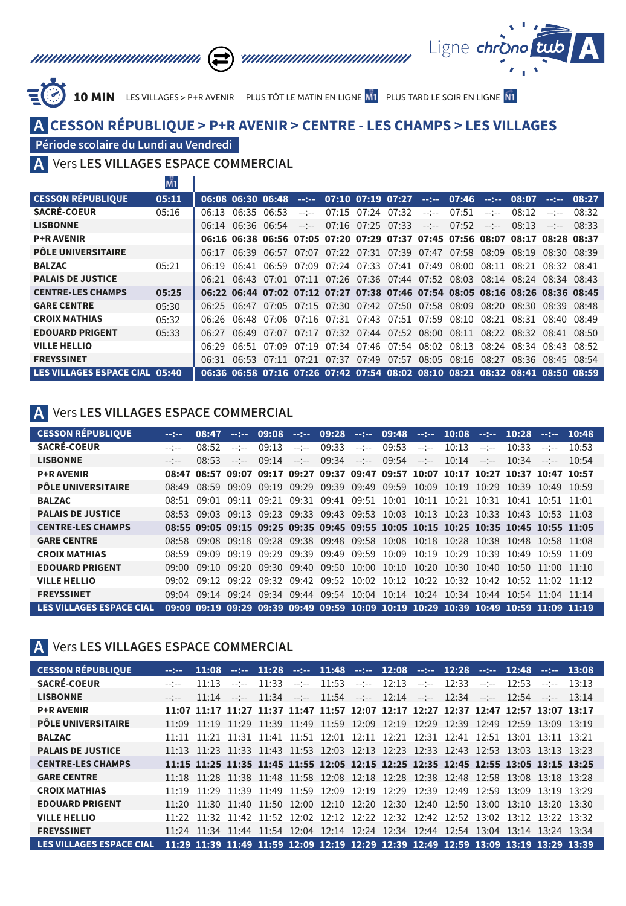



10 MIN LES VILLAGES > P+R AVENIR | PLUS TÔT LE MATIN EN LIGNE MI PLUS TARD LE SOIR EN LIGNE NI

## **A CESSON RÉPUBLIQUE > P+R AVENIR > CENTRE - LES CHAMPS > LES VILLAGES**

#### **Période scolaire du Lundi au Vendredi**

Vers **LES VILLAGES ESPACE COMMERCIAL A**

|                                | IVI I |       |                   |                                                             |              |                         |                                              |              |             |              |                                                                               |                   |               |
|--------------------------------|-------|-------|-------------------|-------------------------------------------------------------|--------------|-------------------------|----------------------------------------------|--------------|-------------|--------------|-------------------------------------------------------------------------------|-------------------|---------------|
| <b>CESSON RÉPUBLIOUE</b>       | 05:11 |       |                   | 06:08 06:30 06:48                                           |              |                         | $-1 - 07:10$ 07:19 07:27 $-1 - 07:46$ $-1 -$ |              |             |              | 08:07                                                                         |                   | $-1 - 08:27$  |
| <b>SACRÉ-COEUR</b>             | 05:16 | 06:13 | 06:35             | 06:53                                                       | $-$ - $-$    | 07:15 07:24 07:32       |                                              | $-2 - 2 - 1$ | 07:51       | $--- - - -$  | 08:12                                                                         | $- - - - -$       | 08:32         |
| <b>LISBONNE</b>                |       |       | 06:14 06:36 06:54 |                                                             | $-2 - 2 - 1$ | $07:16$ $07:25$ $07:33$ |                                              | $-2 - 2 - 1$ | 07:52       | $-2 - 2 - 1$ | 08:13                                                                         |                   | $- - - 08.33$ |
| <b>P+R AVENIR</b>              |       |       |                   | 06:16 06:38 06:56 07:05 07:20 07:29 07:37 07:45 07:56 08:07 |              |                         |                                              |              |             |              | 08:17 08:28 08:37                                                             |                   |               |
| <b>PÔLE UNIVERSITAIRE</b>      |       | 06:17 | 06:39             | 06:57                                                       | 07:07        |                         | 07:22 07:31 07:39 07:47 07:58                |              |             | 08:09        | 08:19                                                                         | 08.30 08.39       |               |
| <b>BALZAC</b>                  | 05:21 | 06:19 | 06:41             | 06:59                                                       | 07:09        |                         | 07:24 07:33 07:41                            | 07:49        | 08:00       | 08:11        | 08:21                                                                         | 08.32 08.41       |               |
| <b>PALAIS DE JUSTICE</b>       |       |       | $06.21$ $06.43$   | 07:01                                                       |              |                         | 07:11 07:26 07:36 07:44 07:52 08:03          |              |             | 08:14        | $08.24$ $08.34$ $08.43$                                                       |                   |               |
| <b>CENTRE-LES CHAMPS</b>       | 05:25 |       |                   |                                                             |              |                         |                                              |              |             |              | 06:22 06:44 07:02 07:12 07:27 07:38 07:46 07:54 08:05 08:16 08:26 08:36 08:45 |                   |               |
| <b>GARE CENTRE</b>             | 05:30 | 06:25 |                   | 06:47 07:05 07:15 07:30 07:42 07:50 07:58 08:09             |              |                         |                                              |              |             | 08:20        | 08:30                                                                         | 08:39 08:48       |               |
| <b>CROIX MATHIAS</b>           | 05:32 |       |                   | 06:26 06:48 07:06 07:16 07:31 07:43 07:51 07:59 08:10       |              |                         |                                              |              |             | 08:21        | 08:31                                                                         | 08:40 08:49       |               |
| <b>EDOUARD PRIGENT</b>         | 05:33 | 06:27 | 06.49             | 07:07                                                       |              |                         | 07:17 07:32 07:44 07:52 08:00                |              | 08:11       | 08:22        |                                                                               | 08:32 08:41 08:50 |               |
| <b>VILLE HELLIO</b>            |       | 06.29 |                   | $06:51$ $07:09$                                             |              |                         | 07:19 07:34 07:46 07:54 08:02                |              | 08:13       |              | 08:24 08:34 08:43 08:52                                                       |                   |               |
| <b>FREYSSINET</b>              |       | 06:31 |                   | $06:53$ $07:11$                                             |              | 07:21 07:37 07:49 07:57 |                                              |              | 08:05 08:16 | 08:27        |                                                                               | 08:36 08:45 08:54 |               |
| LES VILLAGES ESPACE CIAL 05:40 |       |       |                   |                                                             |              |                         |                                              |              |             |              | 06:36 06:58 07:16 07:26 07:42 07:54 08:02 08:10 08:21 08:32 08:41 08:50 08:59 |                   |               |

#### **A** Vers **LES VILLAGES ESPACE COMMERCIAL**

| <b>CESSON RÉPUBLIQUE</b>  | $-10 - 10$       | 08:47 | <b>Section</b> | 09:08                   | $-22 - 1$    | 09:28       |              | $-1 - 09:48 -1 -$                                                                   |              | $10:08$ --:-- |              | 10:28 | $-22 - 1$ | 10:48 |
|---------------------------|------------------|-------|----------------|-------------------------|--------------|-------------|--------------|-------------------------------------------------------------------------------------|--------------|---------------|--------------|-------|-----------|-------|
| <b>SACRÉ-COEUR</b>        | $-1 - 1 - 1 = 0$ | 08.52 | $---$          | 09.13                   | $-2 - 2 - 1$ | 09:33       | $-2 - 2 - 1$ | 09:53                                                                               | $-200 - 100$ | 10.13         | $-2 - 2 - 1$ | 10.33 | $-$ - $-$ | 10.53 |
| <b>LISBONNE</b>           | $- - - -$        | 08.53 | $-$ - $-$      | 09:14                   | $-2 - 2 - 1$ |             |              | $09:34$ --:-- $09:54$ --:--                                                         |              | $10.14$ ----  |              | 10:34 | $-1$      | 10:54 |
| <b>P+R AVENIR</b>         |                  |       |                |                         |              |             |              | 08:47 08:57 09:07 09:17 09:27 09:37 09:47 09:57 10:07 10:17 10:27 10:37 10:47 10:57 |              |               |              |       |           |       |
| <b>PÔLE UNIVERSITAIRE</b> | 08.49            |       |                |                         |              |             |              | 08:59 09:09 09:19 09:29 09:39 09:49 09:59 10:09 10:19 10:29 10:39 10:49 10:59       |              |               |              |       |           |       |
| <b>BALZAC</b>             | 08.51            | ∩ዓ∙∩1 |                |                         |              |             |              | 09:11 09:21 09:31 09:41 09:51 10:01 10:11 10:21 10:31 10:41 10:51 11:01             |              |               |              |       |           |       |
| <b>PALAIS DE JUSTICE</b>  | 08.53            |       |                | $09.03$ $09.13$ $09.23$ |              |             |              | 09:33 09:43 09:53 10:03 10:13 10:23 10:33 10:43 10:53 11:03                         |              |               |              |       |           |       |
| <b>CENTRE-LES CHAMPS</b>  |                  |       |                |                         |              |             |              | 08:55 09:05 09:15 09:25 09:35 09:45 09:55 10:05 10:15 10:25 10:35 10:45 10:55 11:05 |              |               |              |       |           |       |
| <b>GARE CENTRE</b>        | 08.58            |       |                |                         |              |             |              | 09:08 09:18 09:28 09:38 09:48 09:58 10:08 10:18 10:28 10:38 10:48 10:58 11:08       |              |               |              |       |           |       |
| <b>CROIX MATHIAS</b>      | 08.59            | 09.09 |                | $09.19$ $09.29$         |              | 09:39 09:49 |              | 09:59 10:09 10:19 10:29 10:39 10:49 10:59 11:09                                     |              |               |              |       |           |       |
| <b>EDOUARD PRIGENT</b>    | 09:00            |       |                |                         |              |             |              | 09:10 09:20 09:30 09:40 09:50 10:00 10:10 10:20 10:30 10:40 10:50 11:00 11:10       |              |               |              |       |           |       |
| <b>VILLE HELLIO</b>       | 09.02            |       |                |                         |              |             |              | 09:12 09:22 09:32 09:42 09:52 10:02 10:12 10:22 10:32 10:42 10:52 11:02 11:12       |              |               |              |       |           |       |
| <b>FREYSSINET</b>         | 09.04            |       |                |                         |              |             |              | 09:14 09:24 09:34 09:44 09:54 10:04 10:14 10:24 10:34 10:44 10:54 11:04 11:14       |              |               |              |       |           |       |
| LES VILLAGES ESPACE CIAL  |                  |       |                |                         |              |             |              | 09:09 09:19 09:29 09:39 09:49 09:59 10:09 10:19 10:29 10:39 10:49 10:59 11:09 11:19 |              |               |              |       |           |       |

#### **A** Vers **LES VILLAGES ESPACE COMMERCIAL**

| <b>CESSON RÉPUBLIOUE</b>        | $-10 - 10 - 10$ | 11:08           |           |       |              |       |              | $-1$ 11:28 $-1$ 11:48 $-1$ 12:08 $-1$ 12:28                                         |           |       |                   | $-1 - 12:48$ |                 | $-1 - 13:08$ |
|---------------------------------|-----------------|-----------------|-----------|-------|--------------|-------|--------------|-------------------------------------------------------------------------------------|-----------|-------|-------------------|--------------|-----------------|--------------|
| <b>SACRÉ-COEUR</b>              | $-$ - $-$       | 11.13           | $ -$      | 11:33 | $-2 - 2 - 1$ | 11:53 | $-2 - 2 - 1$ | 12:13                                                                               | $-25 - 1$ | 12:33 | $-2 - 2 - 1$      | 12.53        | $-$ - $-$       | 13.13        |
| <b>LISBONNE</b>                 | $-$ - $-$       | 11:14           | $-$ - $-$ | 11:34 | $-2 - 2 - 1$ | 11:54 | $-2 - 2 - 1$ | $12:14$ --:--                                                                       |           | 12:34 | $-2 - 2 - 1$      | 12.54        | $-$ - $-$       | 13:14        |
| <b>P+R AVENIR</b>               |                 |                 |           |       |              |       |              | 11:07 11:17 11:27 11:37 11:47 11:57 12:07 12:17 12:27 12:37 12:47 12:57 13:07 13:17 |           |       |                   |              |                 |              |
| <b>PÔLE UNIVERSITAIRE</b>       | 11.09           |                 |           |       |              |       |              | 11:19 11:29 11:39 11:49 11:59 12:09 12:19 12:29 12:39 12:49 12:59 13:09 13:19       |           |       |                   |              |                 |              |
| <b>BALZAC</b>                   | 11.11           |                 |           |       |              |       |              | 11:21 11:31 11:41 11:51 12:01 12:11 12:21 12:31 12:41 12:51 13:01                   |           |       |                   |              | $13.11$ $13.21$ |              |
| <b>PALAIS DE JUSTICE</b>        |                 |                 |           |       |              |       |              | 11:13 11:23 11:33 11:43 11:53 12:03 12:13 12:23 12:33 12:43 12:53 13:03 13:13 13:23 |           |       |                   |              |                 |              |
| <b>CENTRE-LES CHAMPS</b>        |                 |                 |           |       |              |       |              | 11:15 11:25 11:35 11:45 11:55 12:05 12:15 12:25 12:35 12:45 12:55 13:05 13:15 13:25 |           |       |                   |              |                 |              |
| <b>GARE CENTRE</b>              |                 |                 |           |       |              |       |              | 11:18 11:28 11:38 11:48 11:58 12:08 12:18 12:28 12:38 12:48 12:58 13:08 13:18 13:28 |           |       |                   |              |                 |              |
| <b>CROIX MATHIAS</b>            |                 |                 |           |       |              |       |              | 11:19 11:29 11:39 11:49 11:59 12:09 12:19 12:29 12:39 12:49 12:59 13:09 13:19 13:29 |           |       |                   |              |                 |              |
| <b>EDOUARD PRIGENT</b>          |                 |                 |           |       |              |       |              | 11:20 11:30 11:40 11:50 12:00 12:10 12:20 12:30 12:40 12:50 13:00 13:10 13:20 13:30 |           |       |                   |              |                 |              |
| <b>VILLE HELLIO</b>             |                 |                 |           |       |              |       |              | 11:22 11:32 11:42 11:52 12:02 12:12 12:22 12:32 12:42 12:52 13:02 13:12 13:22 13:32 |           |       |                   |              |                 |              |
| <b>FREYSSINET</b>               | 11:24           | $11.34$ $11.44$ |           | 11:54 | 12:04        | 12:14 |              | 12:24 12:34 12:44                                                                   |           |       | 12:54 13:04 13:14 |              | $13.24$ $13.34$ |              |
| <b>LES VILLAGES ESPACE CIAL</b> |                 |                 |           |       |              |       |              | 11:29 11:39 11:49 11:59 12:09 12:19 12:29 12:39 12:49 12:59 13:09 13:19 13:29 13:39 |           |       |                   |              |                 |              |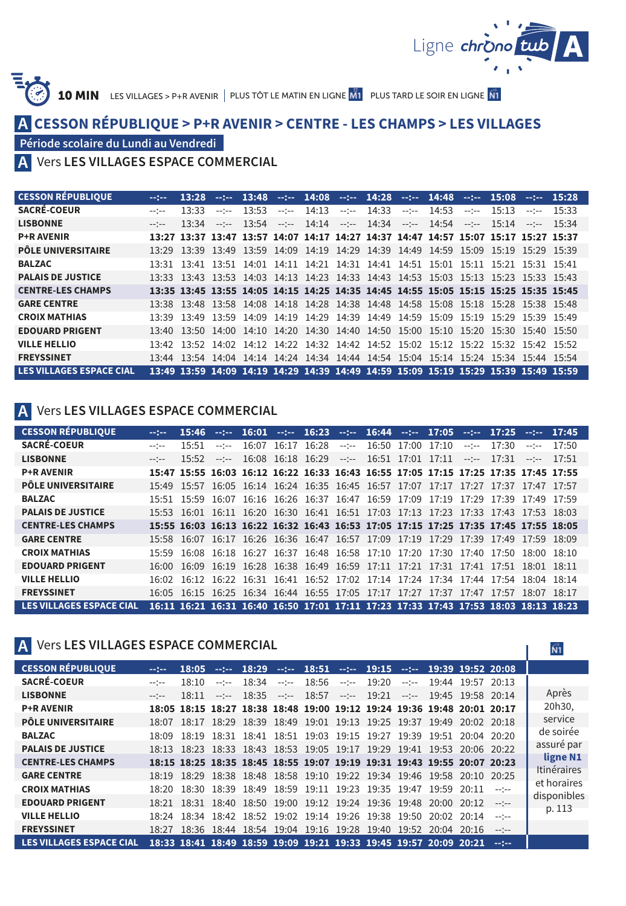

 $\widehat{\mathsf{N1}}$ L

10 MIN LES VILLAGES > P+R AVENIR | PLUS TÔT LE MATIN EN LIGNE M1 PLUS TARD LE SOIR EN LIGNE NI

# **A CESSON RÉPUBLIQUE > P+R AVENIR > CENTRE - LES CHAMPS > LES VILLAGES**

**Période scolaire du Lundi au Vendredi**

## Vers **LES VILLAGES ESPACE COMMERCIAL A**

| <b>CESSON RÉPUBLIOUE</b>        | $-10 - 10 = 0$   | 13:28 | $-20 - 1$ | 13:48 |              |  | $-1$ 14:08 $-1$ 14:28 $-1$ 14:48                                                    |  | $-22 - 1$    | 15:08      | $-12-1$   | 15:28 |
|---------------------------------|------------------|-------|-----------|-------|--------------|--|-------------------------------------------------------------------------------------|--|--------------|------------|-----------|-------|
| <b>SACRÉ-COEUR</b>              | $-1$             | 13.33 | $-$ - $-$ | 13:53 | $-2 - 2 - 1$ |  | $14:13$ --:-- $14:33$ --:-- 14:53                                                   |  | $-2 - 2 - 1$ | 15.13      | $--- - -$ | 15.33 |
| <b>LISBONNE</b>                 | $-1 - 1 - 1 = 0$ | 13.34 | $-$ ---   | 13:54 | $-1 - 1 - 1$ |  | $14:14$ --:-- $14:34$ --:-- 14:54                                                   |  |              | $ -$ 15.14 | $-1$      | 15.34 |
| <b>P+R AVENIR</b>               |                  |       |           |       |              |  | 13:27 13:37 13:47 13:57 14:07 14:17 14:27 14:37 14:47 14:57 15:07 15:17 15:27 15:37 |  |              |            |           |       |
| <b>PÔLE UNIVERSITAIRE</b>       |                  |       |           |       |              |  | 13:29 13:39 13:49 13:59 14:09 14:19 14:29 14:39 14:49 14:59 15:09 15:19 15:29 15:39 |  |              |            |           |       |
| <b>BALZAC</b>                   |                  |       |           |       |              |  | 13:31 13:41 13:51 14:01 14:11 14:21 14:31 14:41 14:51 15:01 15:11 15:21 15:31 15:41 |  |              |            |           |       |
| <b>PALAIS DE JUSTICE</b>        |                  |       |           |       |              |  | 13:33 13:43 13:53 14:03 14:13 14:23 14:33 14:43 14:53 15:03 15:13 15:23 15:33 15:43 |  |              |            |           |       |
| <b>CENTRE-LES CHAMPS</b>        |                  |       |           |       |              |  | 13:35 13:45 13:55 14:05 14:15 14:25 14:35 14:45 14:55 15:05 15:15 15:25 15:35 15:45 |  |              |            |           |       |
| <b>GARE CENTRE</b>              |                  |       |           |       |              |  | 13:38 13:48 13:58 14:08 14:18 14:28 14:38 14:48 14:58 15:08 15:18 15:28 15:38 15:48 |  |              |            |           |       |
| <b>CROIX MATHIAS</b>            | 13.39            | 13.49 |           |       |              |  | 13:59 14:09 14:19 14:29 14:39 14:49 14:59 15:09 15:19 15:29 15:39 15:49             |  |              |            |           |       |
| <b>EDOUARD PRIGENT</b>          |                  |       |           |       |              |  | 13:40 13:50 14:00 14:10 14:20 14:30 14:40 14:50 15:00 15:10 15:20 15:30 15:40 15:50 |  |              |            |           |       |
| <b>VILLE HELLIO</b>             | 13.42            | 13.52 | 14:02     | 14.12 |              |  | 14:22 14:32 14:42 14:52 15:02 15:12 15:22 15:32 15:42 15:52                         |  |              |            |           |       |
| <b>FREYSSINET</b>               | 13.44            |       |           |       |              |  | 13:54 14:04 14:14 14:24 14:34 14:44 14:54 15:04 15:14 15:24 15:34 15:44 15:54       |  |              |            |           |       |
| <b>LES VILLAGES ESPACE CIAL</b> |                  |       |           |       |              |  | 13:49 13:59 14:09 14:19 14:29 14:39 14:49 14:59 15:09 15:19 15:29 15:39 15:49 15:59 |  |              |            |           |       |

#### **A** Vers **LES VILLAGES ESPACE COMMERCIAL**

| <b>CESSON RÉPUBLIQUE</b>        | $-2 - 2 - 4$ | 15:46 | <b>Subject</b> | 16:01 |             |              | $-$ :-- 16:23 $-$ :-- 16:44 $-$ :-- 17:05 $-$ :-- 17:25                             |  |              |       |                 | $-17:45$ |
|---------------------------------|--------------|-------|----------------|-------|-------------|--------------|-------------------------------------------------------------------------------------|--|--------------|-------|-----------------|----------|
| <b>SACRÉ-COEUR</b>              | $- - - - -$  | 15:51 | $-$ - $-$      | 16:07 | 16:17 16:28 | $-2 - 2 - 1$ | 16:50 17:00 17:10                                                                   |  | $-2 - 2 - 1$ | 17.30 | $---$           | 17:50    |
| <b>LISBONNE</b>                 | $- - - -$    | 15:52 | $-2 - 2 - 1$   |       |             |              | $16:08$ $16:18$ $16:29$ --:-- $16:51$ $17:01$ $17:11$ --:-- $17:31$                 |  |              |       | $\sim$ - $\sim$ | 17:51    |
| <b>P+R AVENIR</b>               |              |       |                |       |             |              | 15:47 15:55 16:03 16:12 16:22 16:33 16:43 16:55 17:05 17:15 17:25 17:35 17:45 17:55 |  |              |       |                 |          |
| <b>PÔLE UNIVERSITAIRE</b>       |              |       |                |       |             |              | 15:49 15:57 16:05 16:14 16:24 16:35 16:45 16:57 17:07 17:17 17:27 17:37 17:47 17:57 |  |              |       |                 |          |
| <b>BALZAC</b>                   |              |       |                |       |             |              | 15:51 15:59 16:07 16:16 16:26 16:37 16:47 16:59 17:09 17:19 17:29 17:39 17:49 17:59 |  |              |       |                 |          |
| <b>PALAIS DE JUSTICE</b>        |              |       |                |       |             |              | 15:53 16:01 16:11 16:20 16:30 16:41 16:51 17:03 17:13 17:23 17:33 17:43 17:53 18:03 |  |              |       |                 |          |
| <b>CENTRE-LES CHAMPS</b>        |              |       |                |       |             |              | 15:55 16:03 16:13 16:22 16:32 16:43 16:53 17:05 17:15 17:25 17:35 17:45 17:55 18:05 |  |              |       |                 |          |
| <b>GARE CENTRE</b>              |              |       |                |       |             |              | 15:58 16:07 16:17 16:26 16:36 16:47 16:57 17:09 17:19 17:29 17:39 17:49 17:59 18:09 |  |              |       |                 |          |
| <b>CROIX MATHIAS</b>            | 15.59        |       |                |       |             |              | 16:08 16:18 16:27 16:37 16:48 16:58 17:10 17:20 17:30 17:40 17:50                   |  |              |       | $18:00$ $18:10$ |          |
| <b>EDOUARD PRIGENT</b>          |              |       |                |       |             |              | 16:00 16:09 16:19 16:28 16:38 16:49 16:59 17:11 17:21 17:31 17:41 17:51             |  |              |       | $18:01$ $18:11$ |          |
| <b>VILLE HELLIO</b>             |              |       |                |       |             |              | 16:02 16:12 16:22 16:31 16:41 16:52 17:02 17:14 17:24 17:34 17:44 17:54             |  |              |       | $18.04$ $18.14$ |          |
| <b>FREYSSINET</b>               |              |       |                |       |             |              | 16:05 16:15 16:25 16:34 16:44 16:55 17:05 17:17 17:27 17:37 17:47 17:57             |  |              |       | 18.07 18.17     |          |
| <b>LES VILLAGES ESPACE CIAL</b> |              |       |                |       |             |              | 16:11 16:21 16:31 16:40 16:50 17:01 17:11 17:23 17:33 17:43 17:53 18:03 18:13 18:23 |  |              |       |                 |          |

## **A** Vers **LES VILLAGES ESPACE COMMERCIAL**

| <b>CESSON RÉPUBLIOUE</b>        | $-200 - 100$ | 18:05 |              | $-1$ $-18:29$ |                                                                                                                                                                                                                                                                                                                                                                                                                                                                            |  | $-18:51$ $-19:15$ $-19:39$ 19:52 20:08                                  |           |                         |                      |              |             |
|---------------------------------|--------------|-------|--------------|---------------|----------------------------------------------------------------------------------------------------------------------------------------------------------------------------------------------------------------------------------------------------------------------------------------------------------------------------------------------------------------------------------------------------------------------------------------------------------------------------|--|-------------------------------------------------------------------------|-----------|-------------------------|----------------------|--------------|-------------|
| <b>SACRÉ-COEUR</b>              | $-1 - 1 - 1$ | 18:10 | $-1 - 1 - 1$ | 18:34         | $\frac{1}{2} \left( \frac{1}{2} \right) \left( \frac{1}{2} \right) \left( \frac{1}{2} \right) \left( \frac{1}{2} \right) \left( \frac{1}{2} \right) \left( \frac{1}{2} \right) \left( \frac{1}{2} \right) \left( \frac{1}{2} \right) \left( \frac{1}{2} \right) \left( \frac{1}{2} \right) \left( \frac{1}{2} \right) \left( \frac{1}{2} \right) \left( \frac{1}{2} \right) \left( \frac{1}{2} \right) \left( \frac{1}{2} \right) \left( \frac{1}{2} \right) \left( \frac$ |  | $18:56$ --:-- 19:20                                                     | $-25 - 1$ | 19:44 19:57 20:13       |                      |              |             |
| <b>LISBONNE</b>                 | $-1 - 1 - 1$ | 18:11 | $-1 - 1 - 1$ | $18.35$ ----  |                                                                                                                                                                                                                                                                                                                                                                                                                                                                            |  | $18:57$ --:-- $19:21$                                                   |           | $-:-$ 19:45 19:58 20:14 |                      |              | Après       |
| <b>P+R AVENIR</b>               |              |       |              |               |                                                                                                                                                                                                                                                                                                                                                                                                                                                                            |  | 18:05 18:15 18:27 18:38 18:48 19:00 19:12 19:24 19:36 19:48 20:01 20:17 |           |                         |                      |              | 20h30.      |
| <b>PÔLE UNIVERSITAIRE</b>       |              |       |              |               |                                                                                                                                                                                                                                                                                                                                                                                                                                                                            |  | 18:07 18:17 18:29 18:39 18:49 19:01 19:13 19:25 19:37 19:49 20:02 20:18 |           |                         |                      |              | service     |
| <b>BALZAC</b>                   |              |       |              |               |                                                                                                                                                                                                                                                                                                                                                                                                                                                                            |  | 18:09 18:19 18:31 18:41 18:51 19:03 19:15 19:27 19:39 19:51 20:04 20:20 |           |                         |                      |              | de soirée   |
| <b>PALAIS DE JUSTICE</b>        |              |       |              |               |                                                                                                                                                                                                                                                                                                                                                                                                                                                                            |  | 18:13 18:23 18:33 18:43 18:53 19:05 19:17 19:29 19:41 19:53 20:06 20:22 |           |                         |                      |              | assuré par  |
| <b>CENTRE-LES CHAMPS</b>        |              |       |              |               |                                                                                                                                                                                                                                                                                                                                                                                                                                                                            |  | 18:15 18:25 18:35 18:45 18:55 19:07 19:19 19:31 19:43 19:55 20:07 20:23 |           |                         |                      |              | ligne N1    |
| <b>GARE CENTRE</b>              |              |       |              |               |                                                                                                                                                                                                                                                                                                                                                                                                                                                                            |  | 18:19 18:29 18:38 18:48 18:58 19:10 19:22 19:34 19:46 19:58 20:10 20:25 |           |                         |                      |              | Itinéraires |
| <b>CROIX MATHIAS</b>            |              |       |              |               |                                                                                                                                                                                                                                                                                                                                                                                                                                                                            |  | 18:20 18:30 18:39 18:49 18:59 19:11 19:23 19:35 19:47 19:59 20:11       |           |                         |                      | $-$ - $-$    | et horaires |
| <b>EDOUARD PRIGENT</b>          |              |       |              |               |                                                                                                                                                                                                                                                                                                                                                                                                                                                                            |  | 18:21 18:31 18:40 18:50 19:00 19:12 19:24 19:36 19:48 20:00 20:12 --:-- |           |                         |                      |              | disponibles |
| <b>VILLE HELLIO</b>             |              |       |              |               |                                                                                                                                                                                                                                                                                                                                                                                                                                                                            |  | 18:24 18:34 18:42 18:52 19:02 19:14 19:26 19:38 19:50                   |           |                         | $20:02$ $20:14$ ---- |              | p. 113      |
| <b>FREYSSINET</b>               |              |       |              |               |                                                                                                                                                                                                                                                                                                                                                                                                                                                                            |  | 18:27 18:36 18:44 18:54 19:04 19:16 19:28 19:40 19:52 20:04 20:16       |           |                         |                      | $-1 - 1 - 1$ |             |
| <b>LES VILLAGES ESPACE CIAL</b> |              |       |              |               |                                                                                                                                                                                                                                                                                                                                                                                                                                                                            |  | 18:33 18:41 18:49 18:59 19:09 19:21 19:33 19:45 19:57 20:09 20:21       |           |                         |                      | $-12 - 1$    |             |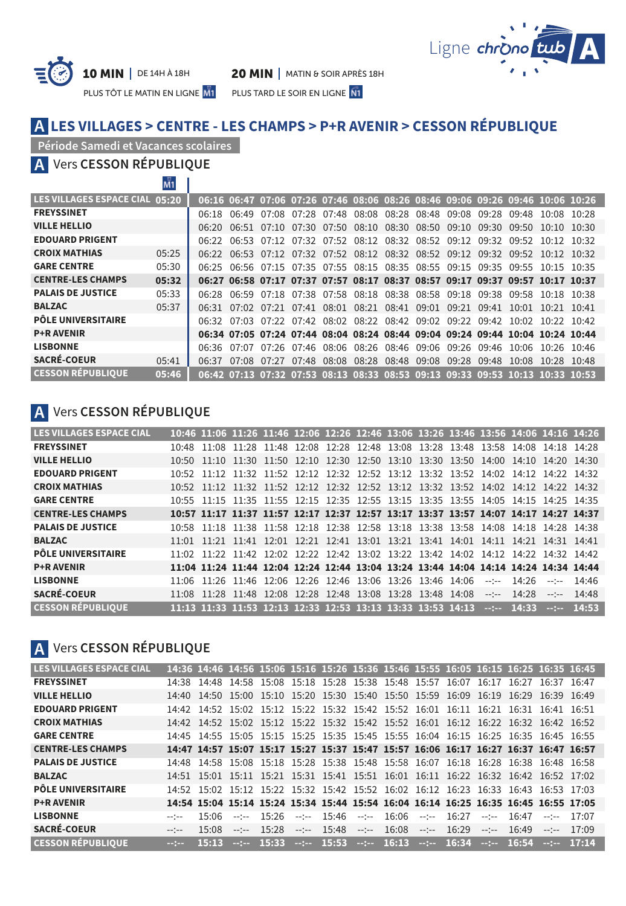



PLUS TÔT LE MATIN EN LIGNE M1 PLUS TARD LE SOIR EN LIGNE N1

## **LES VILLAGES > CENTRE - LES CHAMPS > P+R AVENIR > CESSON RÉPUBLIQUE A**

#### **Période Samedi et Vacances scolaires**

Vers **CESSON RÉPUBLIQUE A**

| LES VILLAGES ESPACE CIAL 05:20 |       |       |       |  |                   |                                                       |                         |  | 06:16 06:47 07:06 07:26 07:46 08:06 08:26 08:46 09:06 09:26 09:46 10:06 10:26 |       |                     |       |
|--------------------------------|-------|-------|-------|--|-------------------|-------------------------------------------------------|-------------------------|--|-------------------------------------------------------------------------------|-------|---------------------|-------|
| <b>FREYSSINET</b>              |       | 06.18 |       |  |                   |                                                       |                         |  | 06:49 07:08 07:28 07:48 08:08 08:28 08:48 09:08 09:28 09:48                   |       | 10.08               | 10.28 |
| <b>VILLE HELLIO</b>            |       |       |       |  |                   |                                                       |                         |  | 06:20 06:51 07:10 07:30 07:50 08:10 08:30 08:50 09:10 09:30 09:50             |       | $10.10 \quad 10.30$ |       |
| <b>EDOUARD PRIGENT</b>         |       |       |       |  |                   |                                                       |                         |  | 06:22 06:53 07:12 07:32 07:52 08:12 08:32 08:52 09:12 09:32 09:52 10:12 10:32 |       |                     |       |
| <b>CROIX MATHIAS</b>           | 05:25 |       |       |  |                   |                                                       |                         |  | 06:22 06:53 07:12 07:32 07:52 08:12 08:32 08:52 09:12 09:32 09:52 10:12 10:32 |       |                     |       |
| <b>GARE CENTRE</b>             | 05:30 |       |       |  |                   |                                                       |                         |  | 06:25 06:56 07:15 07:35 07:55 08:15 08:35 08:55 09:15 09:35 09:55 10:15 10:35 |       |                     |       |
| <b>CENTRE-LES CHAMPS</b>       | 05:32 |       |       |  |                   |                                                       |                         |  | 06:27 06:58 07:17 07:37 07:57 08:17 08:37 08:57 09:17 09:37 09:57 10:17 10:37 |       |                     |       |
| <b>PALAIS DE JUSTICE</b>       | 05:33 | 06.28 |       |  |                   |                                                       |                         |  | 06:59 07:18 07:38 07:58 08:18 08:38 08:58 09:18 09:38 09:58 10:18 10:38       |       |                     |       |
| <b>BALZAC</b>                  | 05:37 | 06.31 |       |  |                   | 07:02 07:21 07:41 08:01 08:21 08:41 09:01 09:21 09:41 |                         |  |                                                                               | 10:01 | 10:21               | 10:41 |
| <b>PÔLE UNIVERSITAIRE</b>      |       |       |       |  |                   |                                                       |                         |  | 06:32 07:03 07:22 07:42 08:02 08:22 08:42 09:02 09:22 09:42 10:02             |       | $10.22$ $10.42$     |       |
| <b>P+R AVENIR</b>              |       |       |       |  |                   |                                                       |                         |  | 06:34 07:05 07:24 07:44 08:04 08:24 08:44 09:04 09:24 09:44 10:04 10:24 10:44 |       |                     |       |
| <b>LISBONNE</b>                |       |       |       |  |                   |                                                       |                         |  | 06:36 07:07 07:26 07:46 08:06 08:26 08:46 09:06 09:26 09:46 10:06             |       | $10.26$ $10.46$     |       |
| <b>SACRÉ-COEUR</b>             | 05:41 | 06:37 | 07:08 |  | 07:27 07:48 08:08 | 08:28                                                 | 08:48 09:08 09:28 09:48 |  |                                                                               | 10:08 | 10:28               | 10.48 |
| <b>CESSON RÉPUBLIOUE</b>       | 05:46 |       |       |  |                   |                                                       |                         |  | 06:42 07:13 07:32 07:53 08:13 08:33 08:53 09:13 09:33 09:53 10:13 10:33 10:53 |       |                     |       |

# **A** Vers **CESSON RÉPUBLIQUE**

| <b>LES VILLAGES ESPACE CIAL</b> |  | 10:46 11:06 11:26 11:46 12:06 12:26 12:46 13:06 13:26 13:46 13:56 14:06 14:16 14:26 |  |  |  |              |                         |              |          |
|---------------------------------|--|-------------------------------------------------------------------------------------|--|--|--|--------------|-------------------------|--------------|----------|
| <b>FREYSSINET</b>               |  | 10:48 11:08 11:28 11:48 12:08 12:28 12:48 13:08 13:28 13:48 13:58 14:08 14:18 14:28 |  |  |  |              |                         |              |          |
| <b>VILLE HELLIO</b>             |  | 10:50 11:10 11:30 11:50 12:10 12:30 12:50 13:10 13:30 13:50 14:00 14:10 14:20 14:30 |  |  |  |              |                         |              |          |
| <b>EDOUARD PRIGENT</b>          |  | 10:52 11:12 11:32 11:52 12:12 12:32 12:52 13:12 13:32 13:52 14:02 14:12 14:22 14:32 |  |  |  |              |                         |              |          |
| <b>CROIX MATHIAS</b>            |  | 10:52 11:12 11:32 11:52 12:12 12:32 12:52 13:12 13:32 13:52 14:02 14:12 14:22 14:32 |  |  |  |              |                         |              |          |
| <b>GARE CENTRE</b>              |  | 10:55 11:15 11:35 11:55 12:15 12:35 12:55 13:15 13:35 13:55 14:05 14:15 14:25 14:35 |  |  |  |              |                         |              |          |
| <b>CENTRE-LES CHAMPS</b>        |  | 10:57 11:17 11:37 11:57 12:17 12:37 12:57 13:17 13:37 13:57 14:07 14:17 14:27 14:37 |  |  |  |              |                         |              |          |
| <b>PALAIS DE JUSTICE</b>        |  | 10:58 11:18 11:38 11:58 12:18 12:38 12:58 13:18 13:38 13:58 14:08                   |  |  |  |              | $14.18$ $14.28$ $14.38$ |              |          |
| <b>BALZAC</b>                   |  | 11:01 11:21 11:41 12:01 12:21 12:41 13:01 13:21 13:41 14:01 14:11 14:21 14:31 14:41 |  |  |  |              |                         |              |          |
| <b>PÔLE UNIVERSITAIRE</b>       |  | 11:02 11:22 11:42 12:02 12:22 12:42 13:02 13:22 13:42 14:02 14:12 14:22 14:32 14:42 |  |  |  |              |                         |              |          |
| <b>P+R AVENIR</b>               |  | 11:04 11:24 11:44 12:04 12:24 12:44 13:04 13:24 13:44 14:04 14:14 14:24 14:34 14:44 |  |  |  |              |                         |              |          |
| <b>LISBONNE</b>                 |  | 11:06 11:26 11:46 12:06 12:26 12:46 13:06 13:26 13:46 14:06                         |  |  |  | $-2 - 2 - 1$ | $14.26$ $-14.46$        |              |          |
| <b>SACRÉ-COEUR</b>              |  | 11:08 11:28 11:48 12:08 12:28 12:48 13:08 13:28 13:48 14:08                         |  |  |  | $-2 - 2 - 1$ | 14.28                   | $-1 - 1 - 1$ | 14:48    |
| <b>CESSON RÉPUBLIQUE</b>        |  | 11:13 11:33 11:53 12:13 12:33 12:53 13:13 13:33 13:53 14:13                         |  |  |  |              | $-1 - 14:33$            |              | $-14:53$ |

# **A** Vers **CESSON RÉPUBLIQUE**

| <b>LES VILLAGES ESPACE CIAL</b> |           |                 |      |          |                   |                                                         |       | 14:36 14:46 14:56 15:06 15:16 15:26 15:36 15:46 15:55 16:05 16:15 16:25 16:35 16:45 |       |           |       |
|---------------------------------|-----------|-----------------|------|----------|-------------------|---------------------------------------------------------|-------|-------------------------------------------------------------------------------------|-------|-----------|-------|
| <b>FREYSSINET</b>               | 14.38     |                 |      |          |                   |                                                         |       | 14:48 14:58 15:08 15:18 15:28 15:38 15:48 15:57 16:07 16:17 16:27 16:37 16:47       |       |           |       |
| <b>VILLE HELLIO</b>             |           |                 |      |          |                   |                                                         |       | 14:40 14:50 15:00 15:10 15:20 15:30 15:40 15:50 15:59 16:09 16:19 16:29 16:39 16:49 |       |           |       |
| <b>EDOUARD PRIGENT</b>          |           |                 |      |          |                   |                                                         |       | 14:42 14:52 15:02 15:12 15:22 15:32 15:42 15:52 16:01 16:11 16:21 16:31 16:41 16:51 |       |           |       |
| <b>CROIX MATHIAS</b>            |           |                 |      |          |                   |                                                         |       | 14:42 14:52 15:02 15:12 15:22 15:32 15:42 15:52 16:01 16:12 16:22 16:32 16:42 16:52 |       |           |       |
| <b>GARE CENTRE</b>              |           |                 |      |          |                   |                                                         |       | 14:45 14:55 15:05 15:15 15:25 15:35 15:45 15:55 16:04 16:15 16:25 16:35 16:45 16:55 |       |           |       |
| <b>CENTRE-LES CHAMPS</b>        |           |                 |      |          |                   |                                                         |       | 14:47 14:57 15:07 15:17 15:27 15:37 15:47 15:57 16:06 16:17 16:27 16:37 16:47 16:57 |       |           |       |
| <b>PALAIS DE JUSTICE</b>        |           | $14.48$ $14.58$ |      |          |                   |                                                         |       | 15:08 15:18 15:28 15:38 15:48 15:58 16:07 16:18 16:28 16:38 16:48 16:58             |       |           |       |
| <b>BALZAC</b>                   |           |                 |      |          |                   |                                                         |       | 14:51 15:01 15:11 15:21 15:31 15:41 15:51 16:01 16:11 16:22 16:32 16:42 16:52 17:02 |       |           |       |
| <b>PÔLE UNIVERSITAIRE</b>       |           |                 |      |          |                   |                                                         |       | 14:52 15:02 15:12 15:22 15:32 15:42 15:52 16:02 16:12 16:23 16:33 16:43 16:53 17:03 |       |           |       |
| <b>P+R AVENIR</b>               |           |                 |      |          |                   |                                                         |       | 14:54 15:04 15:14 15:24 15:34 15:44 15:54 16:04 16:14 16:25 16:35 16:45 16:55 17:05 |       |           |       |
| <b>LISBONNE</b>                 | $-$ - $-$ | 15:06           | $ -$ |          | 15:26 --:-- 15:46 | $-$ :-- 16:06 $-$ :--                                   | 16:27 | $-2 - 2 - 1$                                                                        | 16:47 | $-$ - $-$ | 17:07 |
| <b>SACRÉ-COEUR</b>              | $- - - -$ | 15:08           | $ -$ |          |                   | $15:28$ --:-- $15:48$ --:-- $16:08$ --:-- $16:29$ --:-- |       |                                                                                     | 16.49 | $-$ - $-$ | 17:09 |
| <b>CESSON RÉPUBLIQUE</b>        |           | 15:13           |      | $-15:33$ |                   |                                                         |       | --:-- 15:53 --:-- 16:13 --:-- 16:34 --:-- 16:54 --:-- 17:14                         |       |           |       |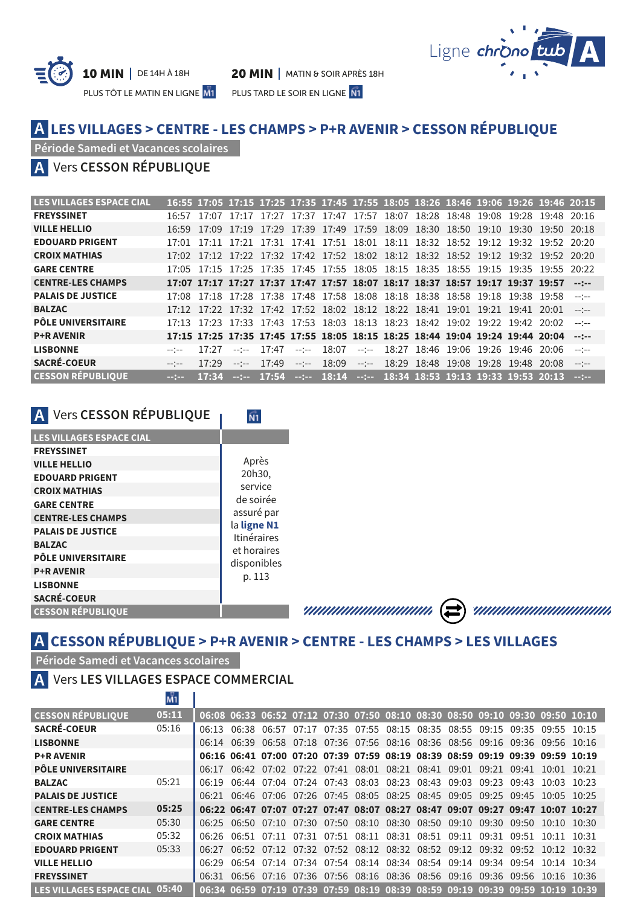



PLUS TÔT LE MATIN EN LIGNE M1 PLUS TARD LE SOIR EN LIGNE N1

## **LES VILLAGES > CENTRE - LES CHAMPS > P+R AVENIR > CESSON RÉPUBLIQUE A**

**Période Samedi et Vacances scolaires**

## Vers **CESSON RÉPUBLIQUE A**

| <b>LES VILLAGES ESPACE CIAL</b> |                |       |             |       |              |       | 16:55 17:05 17:15 17:25 17:35 17:45 17:55 18:05 18:26 18:46 19:06 19:26 19:46 20:15                              |                   |  |                                     |            |                |
|---------------------------------|----------------|-------|-------------|-------|--------------|-------|------------------------------------------------------------------------------------------------------------------|-------------------|--|-------------------------------------|------------|----------------|
| <b>FREYSSINET</b>               |                |       |             |       |              |       | 16:57 17:07 17:17 17:27 17:37 17:47 17:57 18:07 18:28 18:48 19:08 19:28 19:48 20:16                              |                   |  |                                     |            |                |
| <b>VILLE HELLIO</b>             | 16:59          | 17:09 |             |       |              |       | 17:19 17:29 17:39 17:49 17:59 18:09 18:30 18:50 19:10 19:30 19:50 20:18                                          |                   |  |                                     |            |                |
| <b>EDOUARD PRIGENT</b>          | 17:01          | 17:11 |             |       |              |       | 17:21 17:31 17:41 17:51 18:01 18:11 18:32 18:52 19:12 19:32 19:52 20:20                                          |                   |  |                                     |            |                |
| <b>CROIX MATHIAS</b>            |                |       |             |       |              |       | 17:02 17:12 17:22 17:32 17:42 17:52 18:02 18:12 18:32 18:52 19:12 19:32 19:52 20:20                              |                   |  |                                     |            |                |
| <b>GARE CENTRE</b>              |                |       |             |       |              |       | 17:05 17:15 17:25 17:35 17:45 17:55 18:05 18:15 18:35 18:55 19:15 19:35 19:55 20:22                              |                   |  |                                     |            |                |
| <b>CENTRE-LES CHAMPS</b>        |                |       |             |       |              |       | $17:07$ $17:17$ $17:27$ $17:37$ $17:47$ $17:57$ $18:07$ $18:17$ $18:37$ $18:57$ $19:17$ $19:37$ $19:57$ $\cdots$ |                   |  |                                     |            |                |
| <b>PALAIS DE JUSTICE</b>        |                |       |             |       |              |       | 17:08 17:18 17:28 17:38 17:48 17:58 18:08 18:18 18:38 18:58 19:18 19:38 19:58                                    |                   |  |                                     |            | $--- - - -$    |
| <b>BALZAC</b>                   |                |       |             |       |              |       | 17:12 17:22 17:32 17:42 17:52 18:02 18:12 18:22 18:41 19:01 19:21 19:41 20:01                                    |                   |  |                                     |            |                |
| <b>PÔLE UNIVERSITAIRE</b>       |                |       |             |       |              |       | 17:13 17:23 17:33 17:43 17:53 18:03 18:13 18:23 18:42 19:02 19:22 19:42 20:02                                    |                   |  |                                     |            | $--- - - -$    |
| <b>P+R AVENIR</b>               |                |       |             |       |              |       | 17:15 17:25 17:35 17:45 17:55 18:05 18:15 18:25 18:44 19:04 19:24 19:44 20:04                                    |                   |  |                                     |            | $-11$          |
| <b>LISBONNE</b>                 | $-1$ $-$       | 17:27 | $-$ - $-$   | 17.47 | $-2 - 2 - 1$ | 18:07 | $-2 - 2 - 1$                                                                                                     |                   |  | 18:27 18:46 19:06 19:26 19:46 20:06 |            |                |
| <b>SACRÉ-COEUR</b>              | $-$ - $-$      | 17.29 | $--- - - -$ | 17.49 | $-2 - 2 - 1$ | 18:09 | $-2 - 2 - 1$                                                                                                     | 18:29 18:48 19:08 |  | 19:28                               | 19.4820008 | $- - - - -$    |
| <b>CESSON RÉPUBLIOUE</b>        | <b>Section</b> | 17:34 |             |       |              |       | $-:-:- 17:54 -:-:- 18:14 -:-:- 18:34 18:53 19:13 19:33 19:53 20:13$                                              |                   |  |                                     |            | <b>Section</b> |

 $\overline{N1}$ 

# **A** Vers **CESSON RÉPUBLIQUE**

| <b>LES VILLAGES ESPACE CIAL</b> |                            |
|---------------------------------|----------------------------|
| <b>FREYSSINET</b>               |                            |
| <b>VILLE HELLIO</b>             | Après                      |
| <b>EDOUARD PRIGENT</b>          | 20h30,                     |
| <b>CROIX MATHIAS</b>            | service                    |
| <b>GARE CENTRE</b>              | de soirée                  |
| <b>CENTRE-LES CHAMPS</b>        | assuré par                 |
| <b>PALAIS DE JUSTICE</b>        | la ligne N1<br>Itinéraires |
| <b>BALZAC</b>                   | et horaires                |
| <b>PÔLE UNIVERSITAIRE</b>       | disponibles                |
| <b>P+R AVENIR</b>               | p. 113                     |
| <b>LISBONNE</b>                 |                            |
| <b>SACRÉ-COEUR</b>              |                            |
| <b>CESSON RÉPUBLIQUE</b>        |                            |
|                                 |                            |

# **A CESSON RÉPUBLIQUE > P+R AVENIR > CENTRE - LES CHAMPS > LES VILLAGES**

**Période Samedi et Vacances scolaires**

## **A** Vers **LES VILLAGES ESPACE COMMERCIAL**

|                                 | M1.    |       |  |  |                                                             |  |       |       |                                                                               |       |
|---------------------------------|--------|-------|--|--|-------------------------------------------------------------|--|-------|-------|-------------------------------------------------------------------------------|-------|
| <b>CESSON RÉPUBLIOUE</b>        | 05:11  |       |  |  |                                                             |  |       |       | 06:08 06:33 06:52 07:12 07:30 07:50 08:10 08:30 08:50 09:10 09:30 09:50 10:10 |       |
| <b>SACRÉ-COEUR</b>              | 05:16  |       |  |  |                                                             |  |       |       | 06:13 06:38 06:57 07:17 07:35 07:55 08:15 08:35 08:55 09:15 09:35 09:55 10:15 |       |
| <b>LISBONNE</b>                 |        |       |  |  |                                                             |  |       |       | 06:14 06:39 06:58 07:18 07:36 07:56 08:16 08:36 08:56 09:16 09:36 09:56 10:16 |       |
| <b>P+R AVENIR</b>               |        |       |  |  |                                                             |  |       |       | 06:16 06:41 07:00 07:20 07:39 07:59 08:19 08:39 08:59 09:19 09:39 09:59 10:19 |       |
| <b>PÔLE UNIVERSITAIRE</b>       |        |       |  |  | 06:17 06:42 07:02 07:22 07:41 08:01 08:21 08:41 09:01 09:21 |  |       |       | $09.41$ $10.01$ $10.21$                                                       |       |
| <b>BALZAC</b>                   | 05:21  |       |  |  |                                                             |  |       |       | 06:19 06:44 07:04 07:24 07:43 08:03 08:23 08:43 09:03 09:23 09:43 10:03 10:23 |       |
| <b>PALAIS DE JUSTICE</b>        |        |       |  |  |                                                             |  |       |       | 06:21 06:46 07:06 07:26 07:45 08:05 08:25 08:45 09:05 09:25 09:45 10:05 10:25 |       |
| <b>CENTRE-LES CHAMPS</b>        | 05:25  |       |  |  |                                                             |  |       |       | 06:22 06:47 07:07 07:27 07:47 08:07 08:27 08:47 09:07 09:27 09:47 10:07 10:27 |       |
| <b>GARE CENTRE</b>              | 05:30  |       |  |  | 06:25 06:50 07:10 07:30 07:50 08:10 08:30 08:50 09:10       |  | 09:30 | 09:50 | 10:10 10:30                                                                   |       |
| <b>CROIX MATHIAS</b>            | 05:32  |       |  |  | 06:26 06:51 07:11 07:31 07:51 08:11 08:31 08:51 09:11       |  | 09.31 | 09.51 | 10:11                                                                         | 10.31 |
| <b>EDOUARD PRIGENT</b>          | 0.5:33 |       |  |  | 06:27 06:52 07:12 07:32 07:52 08:12 08:32 08:52 09:12 09:32 |  |       | 09:52 | 10:12 10:32                                                                   |       |
| <b>VILLE HELLIO</b>             |        | 06.29 |  |  | 06:54 07:14 07:34 07:54 08:14 08:34 08:54 09:14 09:34 09:54 |  |       |       | $10.14$ $10.34$                                                               |       |
| <b>FREYSSINET</b>               |        |       |  |  |                                                             |  |       |       | 06:31 06:56 07:16 07:36 07:56 08:16 08:36 08:56 09:16 09:36 09:56 10:16 10:36 |       |
| <b>LES VILLAGES ESPACE CIAL</b> | 05:40  |       |  |  |                                                             |  |       |       | 06:34 06:59 07:19 07:39 07:59 08:19 08:39 08:59 09:19 09:39 09:59 10:19 10:39 |       |